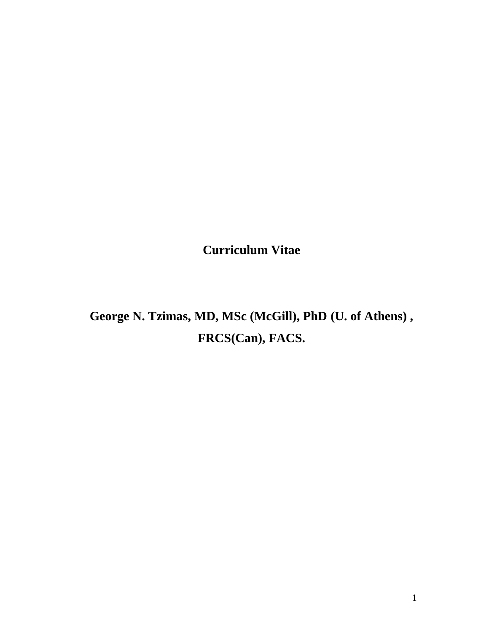**Curriculum Vitae**

**George N. Tzimas, MD, MSc (McGill), PhD (U. of Athens) , FRCS(Can), FACS.**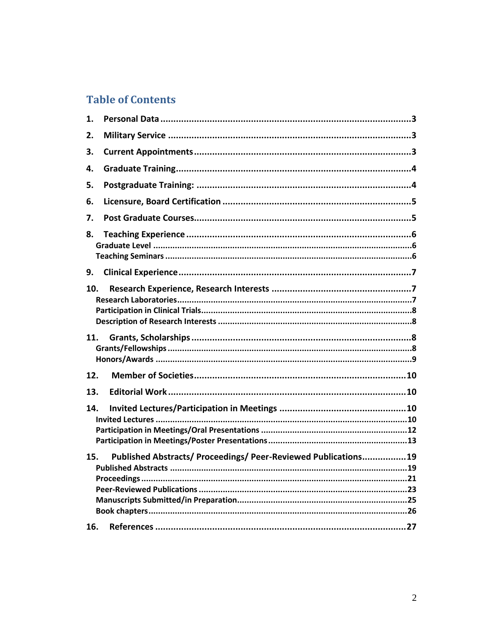# **Table of Contents**

| 1.  |                                                                |  |
|-----|----------------------------------------------------------------|--|
| 2.  |                                                                |  |
| 3.  |                                                                |  |
| 4.  |                                                                |  |
| 5.  |                                                                |  |
| 6.  |                                                                |  |
| 7.  |                                                                |  |
| 8.  |                                                                |  |
| 9.  |                                                                |  |
| 10. |                                                                |  |
| 11. |                                                                |  |
|     |                                                                |  |
| 12. |                                                                |  |
| 13. |                                                                |  |
| 14. |                                                                |  |
| 15. | Published Abstracts/ Proceedings/ Peer-Reviewed Publications19 |  |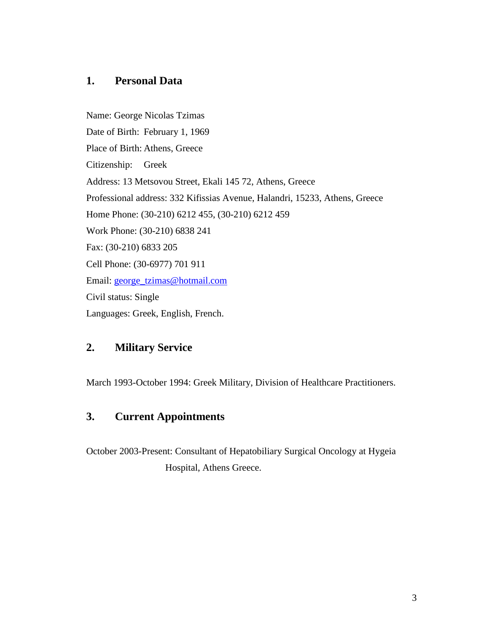# **1. Personal Data**

Name: George Nicolas Tzimas Date of Birth: February 1, 1969 Place of Birth: Athens, Greece Citizenship: Greek Address: 13 Metsovou Street, Ekali 145 72, Athens, Greece Professional address: 332 Kifissias Avenue, Halandri, 15233, Athens, Greece Home Phone: (30-210) 6212 455, (30-210) 6212 459 Work Phone: (30-210) 6838 241 Fax: (30-210) 6833 205 Cell Phone: (30-6977) 701 911 Email: [george\\_tzimas@hotmail.com](mailto:george_tzimas@hotmail.com) Civil status: Single Languages: Greek, English, French.

# **2. Military Service**

March 1993-October 1994: Greek Military, Division of Healthcare Practitioners.

# **3. Current Appointments**

October 2003-Present: Consultant of Hepatobiliary Surgical Oncology at Hygeia Hospital, Athens Greece.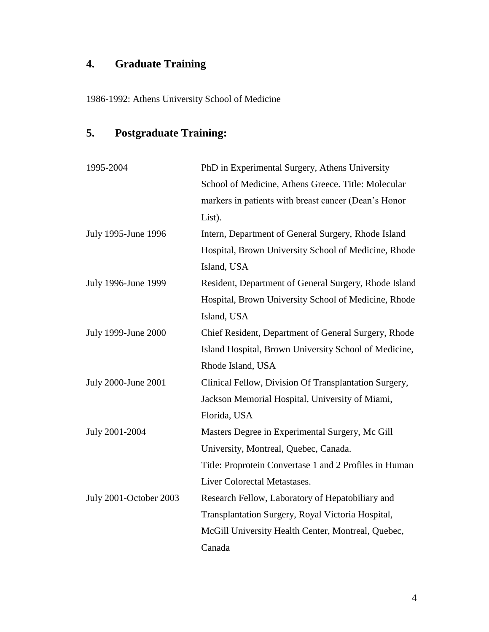# **4. Graduate Training**

1986-1992: Athens University School of Medicine

# **5. Postgraduate Training:**

| 1995-2004              | PhD in Experimental Surgery, Athens University         |
|------------------------|--------------------------------------------------------|
|                        | School of Medicine, Athens Greece. Title: Molecular    |
|                        | markers in patients with breast cancer (Dean's Honor   |
|                        | List).                                                 |
| July 1995-June 1996    | Intern, Department of General Surgery, Rhode Island    |
|                        | Hospital, Brown University School of Medicine, Rhode   |
|                        | Island, USA                                            |
| July 1996-June 1999    | Resident, Department of General Surgery, Rhode Island  |
|                        | Hospital, Brown University School of Medicine, Rhode   |
|                        | Island, USA                                            |
| July 1999-June 2000    | Chief Resident, Department of General Surgery, Rhode   |
|                        | Island Hospital, Brown University School of Medicine,  |
|                        | Rhode Island, USA                                      |
| July 2000-June 2001    | Clinical Fellow, Division Of Transplantation Surgery,  |
|                        | Jackson Memorial Hospital, University of Miami,        |
|                        | Florida, USA                                           |
| July 2001-2004         | Masters Degree in Experimental Surgery, Mc Gill        |
|                        | University, Montreal, Quebec, Canada.                  |
|                        | Title: Proprotein Convertase 1 and 2 Profiles in Human |
|                        | Liver Colorectal Metastases.                           |
| July 2001-October 2003 | Research Fellow, Laboratory of Hepatobiliary and       |
|                        | Transplantation Surgery, Royal Victoria Hospital,      |
|                        | McGill University Health Center, Montreal, Quebec,     |
|                        | Canada                                                 |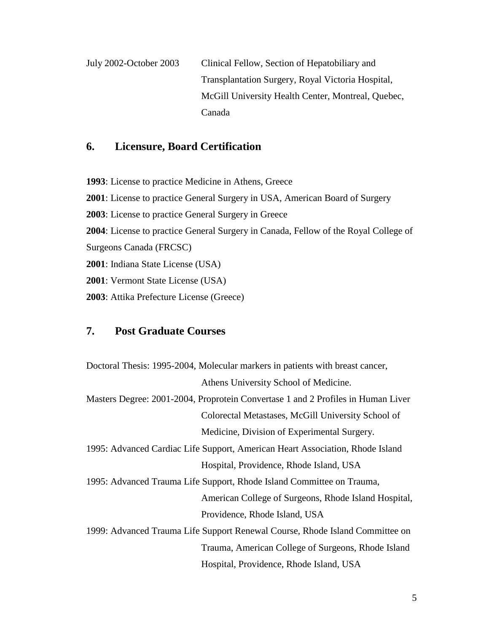July 2002-October 2003 Clinical Fellow, Section of Hepatobiliary and Transplantation Surgery, Royal Victoria Hospital, McGill University Health Center, Montreal, Quebec, Canada

# **6. Licensure, Board Certification**

: License to practice Medicine in Athens, Greece : License to practice General Surgery in USA, American Board of Surgery : License to practice General Surgery in Greece : License to practice General Surgery in Canada, Fellow of the Royal College of Surgeons Canada (FRCSC) : Indiana State License (USA) : Vermont State License (USA) : Attika Prefecture License (Greece)

## **7. Post Graduate Courses**

Doctoral Thesis: 1995-2004, Molecular markers in patients with breast cancer, Athens University School of Medicine. Masters Degree: 2001-2004, Proprotein Convertase 1 and 2 Profiles in Human Liver Colorectal Metastases, McGill University School of Medicine, Division of Experimental Surgery. 1995: Advanced Cardiac Life Support, American Heart Association, Rhode Island Hospital, Providence, Rhode Island, USA 1995: Advanced Trauma Life Support, Rhode Island Committee on Trauma, American College of Surgeons, Rhode Island Hospital, Providence, Rhode Island, USA 1999: Advanced Trauma Life Support Renewal Course, Rhode Island Committee on Trauma, American College of Surgeons, Rhode Island Hospital, Providence, Rhode Island, USA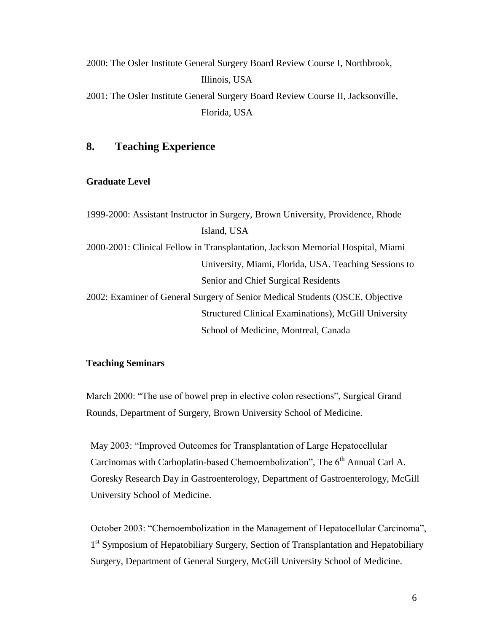2000: The Osler Institute General Surgery Board Review Course I, Northbrook, Illinois, USA 2001: The Osler Institute General Surgery Board Review Course II, Jacksonville, Florida, USA

# **8. Teaching Experience**

#### **Graduate Level**

1999-2000: Assistant Instructor in Surgery, Brown University, Providence, Rhode Island, USA 2000-2001: Clinical Fellow in Transplantation, Jackson Memorial Hospital, Miami University, Miami, Florida, USA. Teaching Sessions to Senior and Chief Surgical Residents 2002: Examiner of General Surgery of Senior Medical Students (OSCE, Objective Structured Clinical Examinations), McGill University School of Medicine, Montreal, Canada

#### **Teaching Seminars**

March 2000: "The use of bowel prep in elective colon resections", Surgical Grand Rounds, Department of Surgery, Brown University School of Medicine.

May 2003: "Improved Outcomes for Transplantation of Large Hepatocellular Carcinomas with Carboplatin-based Chemoembolization", The 6<sup>th</sup> Annual Carl A. Goresky Research Day in Gastroenterology, Department of Gastroenterology, McGill University School of Medicine.

October 2003: "Chemoembolization in the Management of Hepatocellular Carcinoma", 1<sup>st</sup> Symposium of Hepatobiliary Surgery, Section of Transplantation and Hepatobiliary Surgery, Department of General Surgery, McGill University School of Medicine.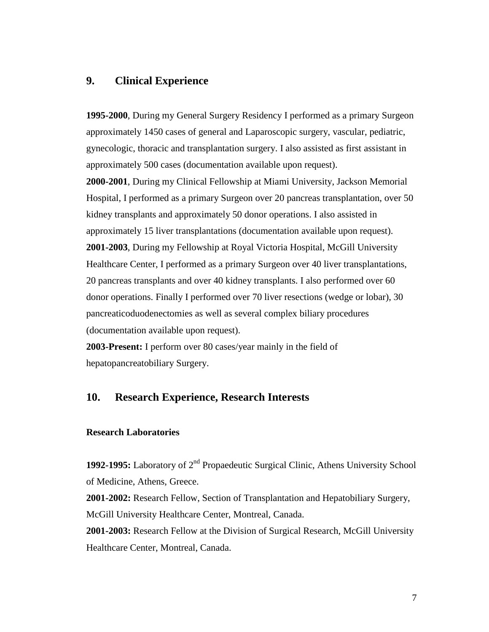## **9. Clinical Experience**

**1995-2000**, During my General Surgery Residency I performed as a primary Surgeon approximately 1450 cases of general and Laparoscopic surgery, vascular, pediatric, gynecologic, thoracic and transplantation surgery. I also assisted as first assistant in approximately 500 cases (documentation available upon request).

**2000-2001**, During my Clinical Fellowship at Miami University, Jackson Memorial Hospital, I performed as a primary Surgeon over 20 pancreas transplantation, over 50 kidney transplants and approximately 50 donor operations. I also assisted in approximately 15 liver transplantations (documentation available upon request). **2001-2003**, During my Fellowship at Royal Victoria Hospital, McGill University Healthcare Center, I performed as a primary Surgeon over 40 liver transplantations, 20 pancreas transplants and over 40 kidney transplants. I also performed over 60 donor operations. Finally I performed over 70 liver resections (wedge or lobar), 30 pancreaticoduodenectomies as well as several complex biliary procedures (documentation available upon request).

**2003-Present:** I perform over 80 cases/year mainly in the field of hepatopancreatobiliary Surgery.

# **10. Research Experience, Research Interests**

#### **Research Laboratories**

**1992-1995:** Laboratory of 2<sup>nd</sup> Propaedeutic Surgical Clinic, Athens University School of Medicine, Athens, Greece.

**2001-2002:** Research Fellow, Section of Transplantation and Hepatobiliary Surgery, McGill University Healthcare Center, Montreal, Canada.

**2001-2003:** Research Fellow at the Division of Surgical Research, McGill University Healthcare Center, Montreal, Canada.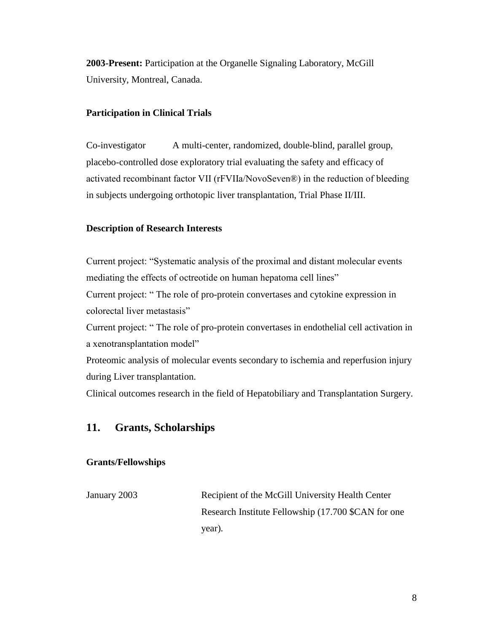**2003-Present:** Participation at the Organelle Signaling Laboratory, McGill University, Montreal, Canada.

## **Participation in Clinical Trials**

Co-investigator A multi-center, randomized, double-blind, parallel group, placebo-controlled dose exploratory trial evaluating the safety and efficacy of activated recombinant factor VII (rFVIIa/NovoSeven®) in the reduction of bleeding in subjects undergoing orthotopic liver transplantation, Trial Phase II/III.

## **Description of Research Interests**

Current project: "Systematic analysis of the proximal and distant molecular events mediating the effects of octreotide on human hepatoma cell lines" Current project: " The role of pro-protein convertases and cytokine expression in colorectal liver metastasis" Current project: " The role of pro-protein convertases in endothelial cell activation in a xenotransplantation model"

Proteomic analysis of molecular events secondary to ischemia and reperfusion injury during Liver transplantation.

Clinical outcomes research in the field of Hepatobiliary and Transplantation Surgery.

## **11. Grants, Scholarships**

## **Grants/Fellowships**

January 2003 Recipient of the McGill University Health Center Research Institute Fellowship (17.700 \$CAN for one year).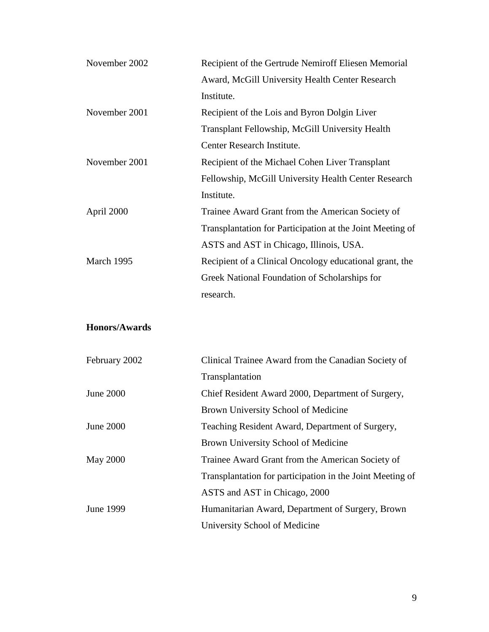| November 2002        | Recipient of the Gertrude Nemiroff Eliesen Memorial       |
|----------------------|-----------------------------------------------------------|
|                      | Award, McGill University Health Center Research           |
|                      | Institute.                                                |
| November 2001        | Recipient of the Lois and Byron Dolgin Liver              |
|                      | Transplant Fellowship, McGill University Health           |
|                      | Center Research Institute.                                |
| November 2001        | Recipient of the Michael Cohen Liver Transplant           |
|                      | Fellowship, McGill University Health Center Research      |
|                      | Institute.                                                |
| April 2000           | Trainee Award Grant from the American Society of          |
|                      | Transplantation for Participation at the Joint Meeting of |
|                      | ASTS and AST in Chicago, Illinois, USA.                   |
| March 1995           | Recipient of a Clinical Oncology educational grant, the   |
|                      | Greek National Foundation of Scholarships for             |
|                      | research.                                                 |
| <b>Honors/Awards</b> |                                                           |
| February 2002        | Clinical Trainee Award from the Canadian Society of       |
|                      | Transplantation                                           |
| <b>June 2000</b>     | Chief Resident Award 2000, Department of Surgery,         |
|                      | Brown University School of Medicine                       |
| <b>June 2000</b>     | Teaching Resident Award, Department of Surgery,           |
|                      | Brown University School of Medicine                       |
| <b>May 2000</b>      | Trainee Award Grant from the American Society of          |
|                      | Transplantation for participation in the Joint Meeting of |
|                      | ASTS and AST in Chicago, 2000                             |
| June 1999            | Humanitarian Award, Department of Surgery, Brown          |
|                      | University School of Medicine                             |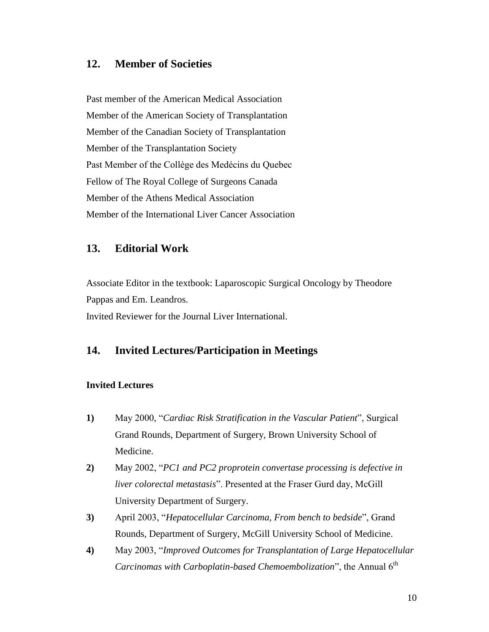## **12. Member of Societies**

Past member of the American Medical Association Member of the American Society of Transplantation Member of the Canadian Society of Transplantation Member of the Transplantation Society Past Member of the Collège des Medécins du Quebec Fellow of The Royal College of Surgeons Canada Member of the Athens Medical Association Member of the International Liver Cancer Association

## **13. Editorial Work**

Associate Editor in the textbook: Laparoscopic Surgical Oncology by Theodore Pappas and Em. Leandros. Invited Reviewer for the Journal Liver International.

## **14. Invited Lectures/Participation in Meetings**

### **Invited Lectures**

- **1)** May 2000, "*Cardiac Risk Stratification in the Vascular Patient*", Surgical Grand Rounds, Department of Surgery, Brown University School of Medicine.
- **2)** May 2002, "*PC1 and PC2 proprotein convertase processing is defective in liver colorectal metastasis*". Presented at the Fraser Gurd day, McGill University Department of Surgery.
- **3)** April 2003, "*Hepatocellular Carcinoma, From bench to bedside*", Grand Rounds, Department of Surgery, McGill University School of Medicine.
- **4)** May 2003, "*Improved Outcomes for Transplantation of Large Hepatocellular Carcinomas with Carboplatin-based Chemoembolization*", the Annual 6<sup>th</sup>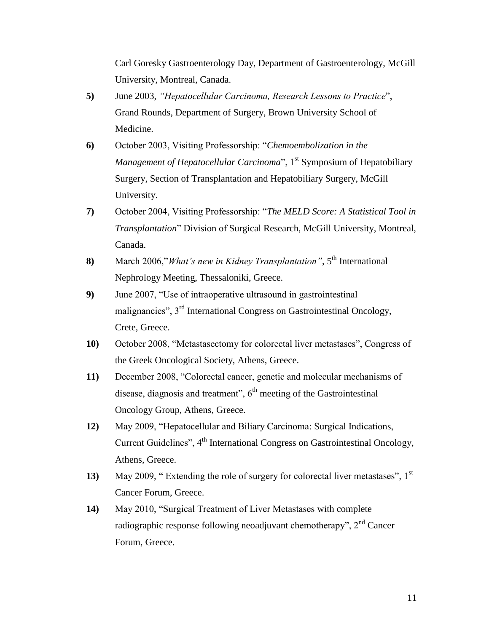Carl Goresky Gastroenterology Day, Department of Gastroenterology, McGill University, Montreal, Canada.

- **5)** June 2003, *"Hepatocellular Carcinoma, Research Lessons to Practice*", Grand Rounds, Department of Surgery, Brown University School of Medicine.
- **6)** October 2003, Visiting Professorship: "*Chemoembolization in the Management of Hepatocellular Carcinoma*", 1<sup>st</sup> Symposium of Hepatobiliary Surgery, Section of Transplantation and Hepatobiliary Surgery, McGill University.
- **7)** October 2004, Visiting Professorship: "*The MELD Score: A Statistical Tool in Transplantation*" Division of Surgical Research, McGill University, Montreal, Canada.
- **8)** March 2006,"*What's new in Kidney Transplantation*", 5<sup>th</sup> International Nephrology Meeting, Thessaloniki, Greece.
- **9)** June 2007, "Use of intraoperative ultrasound in gastrointestinal malignancies", 3rd International Congress on Gastrointestinal Oncology, Crete, Greece.
- **10)** October 2008, "Metastasectomy for colorectal liver metastases", Congress of the Greek Oncological Society, Athens, Greece.
- **11)** December 2008, "Colorectal cancer, genetic and molecular mechanisms of disease, diagnosis and treatment",  $6<sup>th</sup>$  meeting of the Gastrointestinal Oncology Group, Athens, Greece.
- **12)** May 2009, "Hepatocellular and Biliary Carcinoma: Surgical Indications, Current Guidelines", 4<sup>th</sup> International Congress on Gastrointestinal Oncology, Athens, Greece.
- **13)** May 2009, "Extending the role of surgery for colorectal liver metastases", 1<sup>st</sup> Cancer Forum, Greece.
- **14)** May 2010, "Surgical Treatment of Liver Metastases with complete radiographic response following neoadjuvant chemotherapy", 2nd Cancer Forum, Greece.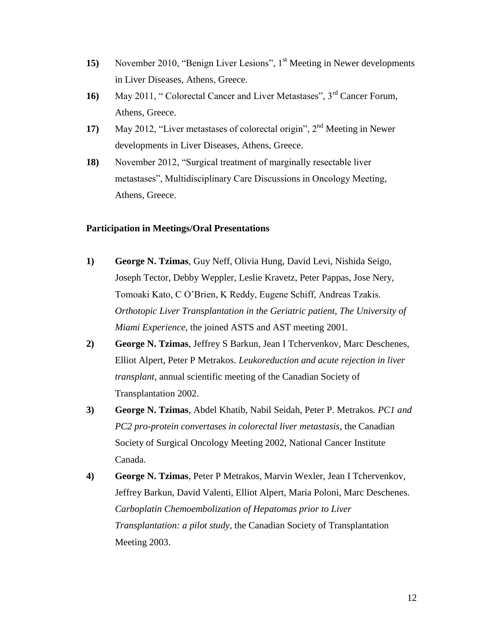- **15)** November 2010, "Benign Liver Lesions", 1<sup>st</sup> Meeting in Newer developments in Liver Diseases, Athens, Greece.
- 16) May 2011, "Colorectal Cancer and Liver Metastases", 3<sup>rd</sup> Cancer Forum, Athens, Greece.
- **17)** May 2012, "Liver metastases of colorectal origin", 2<sup>nd</sup> Meeting in Newer developments in Liver Diseases, Athens, Greece.
- **18)** November 2012, "Surgical treatment of marginally resectable liver metastases", Multidisciplinary Care Discussions in Oncology Meeting, Athens, Greece.

## **Participation in Meetings/Oral Presentations**

- **1) George N. Tzimas**, Guy Neff, Olivia Hung, David Levi, Nishida Seigo, Joseph Tector, Debby Weppler, Leslie Kravetz, Peter Pappas, Jose Nery, Tomoaki Kato, C O'Brien, K Reddy, Eugene Schiff, Andreas Tzakis. *Orthotopic Liver Transplantation in the Geriatric patient, The University of Miami Experience*, the joined ASTS and AST meeting 2001.
- **2) George N. Tzimas**, Jeffrey S Barkun, Jean I Tchervenkov, Marc Deschenes, Elliot Alpert, Peter P Metrakos. *Leukoreduction and acute rejection in liver transplant*, annual scientific meeting of the Canadian Society of Transplantation 2002.
- **3) George N. Tzimas**, Abdel Khatib, Nabil Seidah, Peter P. Metrakos*. PC1 and PC2 pro-protein convertases in colorectal liver metastasis*, the Canadian Society of Surgical Oncology Meeting 2002, National Cancer Institute Canada.
- **4) George N. Tzimas**, Peter P Metrakos, Marvin Wexler, Jean I Tchervenkov, Jeffrey Barkun, David Valenti, Elliot Alpert, Maria Poloni, Marc Deschenes. *Carboplatin Chemoembolization of Hepatomas prior to Liver Transplantation: a pilot study*, the Canadian Society of Transplantation Meeting 2003.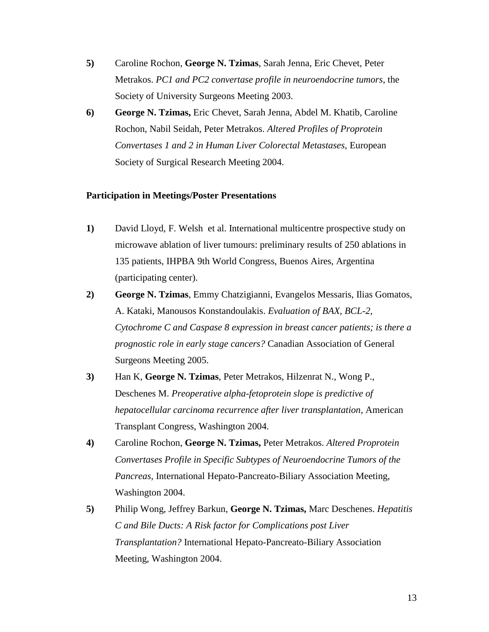- **5)** Caroline Rochon, **George N. Tzimas**, Sarah Jenna, Eric Chevet, Peter Metrakos. *PC1 and PC2 convertase profile in neuroendocrine tumors*, the Society of University Surgeons Meeting 2003.
- **6) George N. Tzimas,** Eric Chevet, Sarah Jenna, Abdel M. Khatib, Caroline Rochon, Nabil Seidah, Peter Metrakos. *Altered Profiles of Proprotein Convertases 1 and 2 in Human Liver Colorectal Metastases,* European Society of Surgical Research Meeting 2004.

## **Participation in Meetings/Poster Presentations**

- **1)** David Lloyd, F. Welsh et al. International multicentre prospective study on microwave ablation of liver tumours: preliminary results of 250 ablations in 135 patients, IHPBA 9th World Congress, Buenos Aires, Argentina (participating center).
- **2) George N. Tzimas**, Emmy Chatzigianni, Evangelos Messaris, Ilias Gomatos, A. Kataki, Manousos Konstandoulakis. *Evaluation of BAX, BCL-2, Cytochrome C and Caspase 8 expression in breast cancer patients; is there a prognostic role in early stage cancers?* Canadian Association of General Surgeons Meeting 2005.
- **3)** Han K, **George N. Tzimas**, Peter Metrakos, Hilzenrat N., Wong P., Deschenes M. *Preoperative alpha-fetoprotein slope is predictive of hepatocellular carcinoma recurrence after liver transplantation*, American Transplant Congress, Washington 2004.
- **4)** Caroline Rochon, **George N. Tzimas,** Peter Metrakos. *Altered Proprotein Convertases Profile in Specific Subtypes of Neuroendocrine Tumors of the Pancreas,* International Hepato-Pancreato-Biliary Association Meeting, Washington 2004.
- **5)** Philip Wong, Jeffrey Barkun, **George N. Tzimas,** Marc Deschenes. *Hepatitis C and Bile Ducts: A Risk factor for Complications post Liver Transplantation?* International Hepato-Pancreato-Biliary Association Meeting, Washington 2004.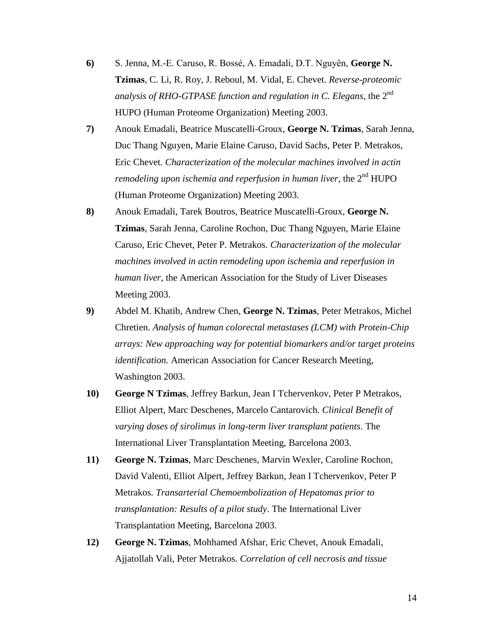- **6)** S. Jenna, M.-E. Caruso, R. Bossé, A. Emadali, D.T. Nguyên, **George N. Tzimas**, C. Li, R. Roy, J. Reboul, M. Vidal, E. Chevet. *Reverse-proteomic analysis of RHO-GTPASE function and regulation in C. Elegans*, the 2nd HUPO (Human Proteome Organization) Meeting 2003.
- **7)** Anouk Emadali, Beatrice Muscatelli-Groux, **George N. Tzimas**, Sarah Jenna, Duc Thang Nguyen, Marie Elaine Caruso, David Sachs, Peter P. Metrakos, Eric Chevet. *Characterization of the molecular machines involved in actin remodeling upon ischemia and reperfusion in human liver*, the 2<sup>nd</sup> HUPO (Human Proteome Organization) Meeting 2003.
- **8)** Anouk Emadali, Tarek Boutros, Beatrice Muscatelli-Groux, **George N. Tzimas**, Sarah Jenna, Caroline Rochon, Duc Thang Nguyen, Marie Elaine Caruso, Eric Chevet, Peter P. Metrakos. *Characterization of the molecular machines involved in actin remodeling upon ischemia and reperfusion in human liver*, the American Association for the Study of Liver Diseases Meeting 2003.
- **9)** Abdel M. Khatib, Andrew Chen, **George N. Tzimas**, Peter Metrakos, Michel Chretien. *Analysis of human colorectal metastases (LCM) with Protein-Chip arrays: New approaching way for potential biomarkers and/or target proteins identification.* American Association for Cancer Research Meeting, Washington 2003.
- **10) George N Tzimas**, Jeffrey Barkun, Jean I Tchervenkov, Peter P Metrakos, Elliot Alpert, Marc Deschenes, Marcelo Cantarovich*. Clinical Benefit of varying doses of sirolimus in long-term liver transplant patients*. The International Liver Transplantation Meeting, Barcelona 2003.
- **11) George N. Tzimas**, Marc Deschenes, Marvin Wexler, Caroline Rochon, David Valenti, Elliot Alpert, Jeffrey Barkun, Jean I Tchervenkov, Peter P Metrakos*. Transarterial Chemoembolization of Hepatomas prior to transplantation: Results of a pilot study*. The International Liver Transplantation Meeting, Barcelona 2003.
- **12) George N. Tzimas**, Mohhamed Afshar, Eric Chevet, Anouk Emadali, Ajjatollah Vali, Peter Metrakos. *Correlation of cell necrosis and tissue*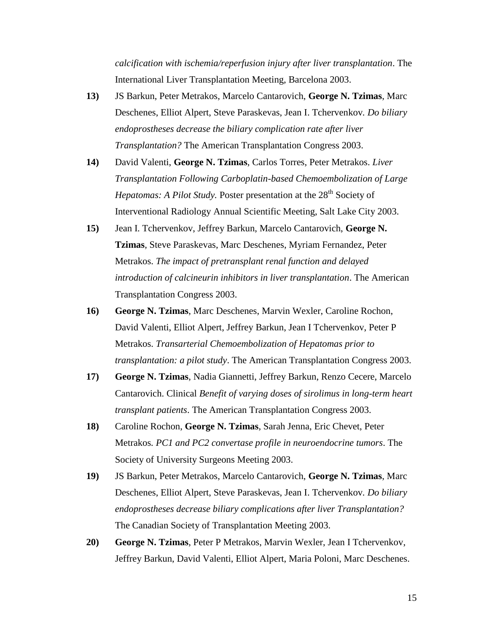*calcification with ischemia/reperfusion injury after liver transplantation*. The International Liver Transplantation Meeting, Barcelona 2003.

- **13)** JS Barkun, Peter Metrakos, Marcelo Cantarovich, **George N. Tzimas**, Marc Deschenes, Elliot Alpert, Steve Paraskevas, Jean I. Tchervenkov*. Do biliary endoprostheses decrease the biliary complication rate after liver Transplantation?* The American Transplantation Congress 2003.
- **14)** David Valenti, **George N. Tzimas**, Carlos Torres, Peter Metrakos. *Liver Transplantation Following Carboplatin-based Chemoembolization of Large Hepatomas: A Pilot Study.* Poster presentation at the 28<sup>th</sup> Society of Interventional Radiology Annual Scientific Meeting, Salt Lake City 2003.
- **15)** Jean I. Tchervenkov, Jeffrey Barkun, Marcelo Cantarovich, **George N. Tzimas**, Steve Paraskevas, Marc Deschenes, Myriam Fernandez, Peter Metrakos. *The impact of pretransplant renal function and delayed introduction of calcineurin inhibitors in liver transplantation*. The American Transplantation Congress 2003.
- **16) George N. Tzimas**, Marc Deschenes, Marvin Wexler, Caroline Rochon, David Valenti, Elliot Alpert, Jeffrey Barkun, Jean I Tchervenkov, Peter P Metrakos. *Transarterial Chemoembolization of Hepatomas prior to transplantation: a pilot study*. The American Transplantation Congress 2003.
- **17) George N. Tzimas**, Nadia Giannetti, Jeffrey Barkun, Renzo Cecere, Marcelo Cantarovich. Clinical *Benefit of varying doses of sirolimus in long-term heart transplant patients*. The American Transplantation Congress 2003.
- **18)** Caroline Rochon, **George N. Tzimas**, Sarah Jenna, Eric Chevet, Peter Metrakos*. PC1 and PC2 convertase profile in neuroendocrine tumors*. The Society of University Surgeons Meeting 2003.
- **19)** JS Barkun, Peter Metrakos, Marcelo Cantarovich, **George N. Tzimas**, Marc Deschenes, Elliot Alpert, Steve Paraskevas, Jean I. Tchervenkov*. Do biliary endoprostheses decrease biliary complications after liver Transplantation?* The Canadian Society of Transplantation Meeting 2003.
- **20) George N. Tzimas**, Peter P Metrakos, Marvin Wexler, Jean I Tchervenkov, Jeffrey Barkun, David Valenti, Elliot Alpert, Maria Poloni, Marc Deschenes.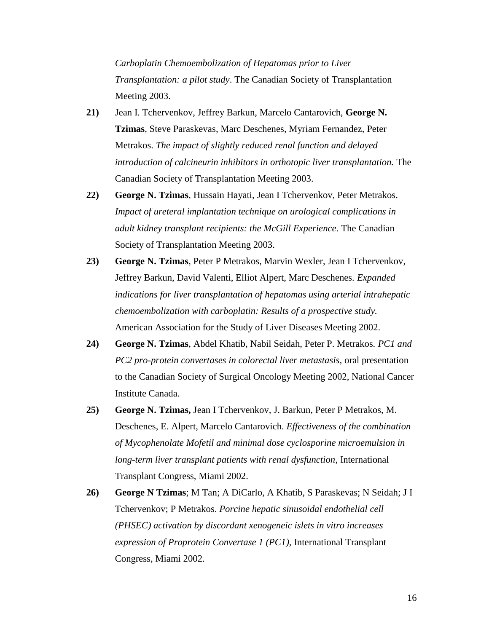*Carboplatin Chemoembolization of Hepatomas prior to Liver Transplantation: a pilot study*. The Canadian Society of Transplantation Meeting 2003.

- **21)** Jean I. Tchervenkov, Jeffrey Barkun, Marcelo Cantarovich, **George N. Tzimas**, Steve Paraskevas, Marc Deschenes, Myriam Fernandez, Peter Metrakos. *The impact of slightly reduced renal function and delayed introduction of calcineurin inhibitors in orthotopic liver transplantation.* The Canadian Society of Transplantation Meeting 2003.
- **22) George N. Tzimas**, Hussain Hayati, Jean I Tchervenkov, Peter Metrakos. *Impact of ureteral implantation technique on urological complications in adult kidney transplant recipients: the McGill Experience*. The Canadian Society of Transplantation Meeting 2003.
- **23) George N. Tzimas**, Peter P Metrakos, Marvin Wexler, Jean I Tchervenkov, Jeffrey Barkun, David Valenti, Elliot Alpert, Marc Deschenes*. Expanded indications for liver transplantation of hepatomas using arterial intrahepatic chemoembolization with carboplatin: Results of a prospective study.* American Association for the Study of Liver Diseases Meeting 2002.
- **24) George N. Tzimas**, Abdel Khatib, Nabil Seidah, Peter P. Metrakos*. PC1 and PC2 pro-protein convertases in colorectal liver metastasis,* oral presentation to the Canadian Society of Surgical Oncology Meeting 2002, National Cancer Institute Canada.
- **25) George N. Tzimas,** Jean I Tchervenkov, J. Barkun, Peter P Metrakos, M. Deschenes, E. Alpert, Marcelo Cantarovich. *Effectiveness of the combination of Mycophenolate Mofetil and minimal dose cyclosporine microemulsion in long-term liver transplant patients with renal dysfunction*, International Transplant Congress, Miami 2002.
- **26) George N Tzimas**; M Tan; A DiCarlo, A Khatib, S Paraskevas; N Seidah; J I Tchervenkov; P Metrakos. *Porcine hepatic sinusoidal endothelial cell (PHSEC) activation by discordant xenogeneic islets in vitro increases expression of Proprotein Convertase 1 (PC1),* International Transplant Congress, Miami 2002.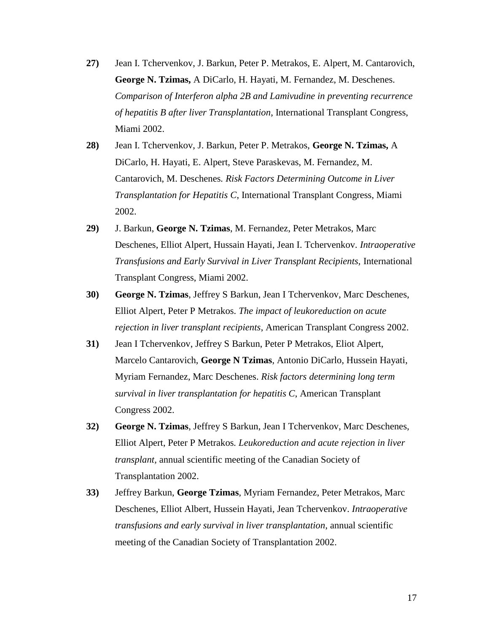- **27)** Jean I. Tchervenkov, J. Barkun, Peter P. Metrakos, E. Alpert, M. Cantarovich, **George N. Tzimas,** A DiCarlo, H. Hayati, M. Fernandez, M. Deschenes. *Comparison of Interferon alpha 2B and Lamivudine in preventing recurrence of hepatitis B after liver Transplantation*, International Transplant Congress, Miami 2002.
- **28)** Jean I. Tchervenkov, J. Barkun, Peter P. Metrakos, **George N. Tzimas,** A DiCarlo, H. Hayati, E. Alpert, Steve Paraskevas, M. Fernandez, M. Cantarovich, M. Deschenes*. Risk Factors Determining Outcome in Liver Transplantation for Hepatitis C*, International Transplant Congress, Miami 2002.
- **29)** J. Barkun, **George N. Tzimas**, M. Fernandez, Peter Metrakos, Marc Deschenes, Elliot Alpert, Hussain Hayati, Jean I. Tchervenkov*. Intraoperative Transfusions and Early Survival in Liver Transplant Recipients,* International Transplant Congress, Miami 2002.
- **30) George N. Tzimas**, Jeffrey S Barkun, Jean I Tchervenkov, Marc Deschenes, Elliot Alpert, Peter P Metrakos. *The impact of leukoreduction on acute rejection in liver transplant recipients*, American Transplant Congress 2002.
- **31)** Jean I Tchervenkov, Jeffrey S Barkun, Peter P Metrakos, Eliot Alpert, Marcelo Cantarovich, **George N Tzimas**, Antonio DiCarlo, Hussein Hayati, Myriam Fernandez, Marc Deschenes. *Risk factors determining long term survival in liver transplantation for hepatitis C*, American Transplant Congress 2002.
- **32) George N. Tzimas**, Jeffrey S Barkun, Jean I Tchervenkov, Marc Deschenes, Elliot Alpert, Peter P Metrakos*. Leukoreduction and acute rejection in liver transplant,* annual scientific meeting of the Canadian Society of Transplantation 2002.
- **33)** Jeffrey Barkun, **George Tzimas**, Myriam Fernandez, Peter Metrakos, Marc Deschenes, Elliot Albert, Hussein Hayati, Jean Tchervenkov. *Intraoperative transfusions and early survival in liver transplantation*, annual scientific meeting of the Canadian Society of Transplantation 2002.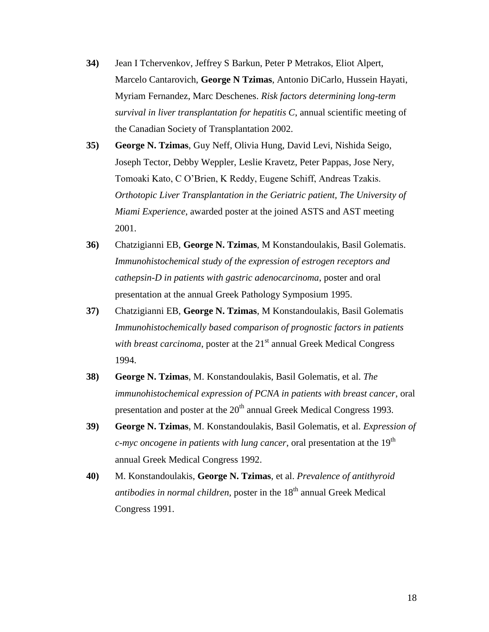- **34)** Jean I Tchervenkov, Jeffrey S Barkun, Peter P Metrakos, Eliot Alpert, Marcelo Cantarovich, **George N Tzimas**, Antonio DiCarlo, Hussein Hayati, Myriam Fernandez, Marc Deschenes. *Risk factors determining long-term survival in liver transplantation for hepatitis C*, annual scientific meeting of the Canadian Society of Transplantation 2002.
- **35) George N. Tzimas**, Guy Neff, Olivia Hung, David Levi, Nishida Seigo, Joseph Tector, Debby Weppler, Leslie Kravetz, Peter Pappas, Jose Nery, Tomoaki Kato, C O'Brien, K Reddy, Eugene Schiff, Andreas Tzakis. *Orthotopic Liver Transplantation in the Geriatric patient, The University of Miami Experience*, awarded poster at the joined ASTS and AST meeting 2001.
- **36)** Chatzigianni EB, **George N. Tzimas**, M Konstandoulakis, Basil Golematis. *Immunohistochemical study of the expression of estrogen receptors and cathepsin-D in patients with gastric adenocarcinoma*, poster and oral presentation at the annual Greek Pathology Symposium 1995.
- **37)** Chatzigianni EB, **George N. Tzimas**, M Konstandoulakis, Basil Golematis *Immunohistochemically based comparison of prognostic factors in patients with breast carcinoma*, poster at the 21<sup>st</sup> annual Greek Medical Congress 1994.
- **38) George N. Tzimas**, M. Konstandoulakis, Basil Golematis, et al. *The immunohistochemical expression of PCNA in patients with breast cancer*, oral presentation and poster at the 20<sup>th</sup> annual Greek Medical Congress 1993.
- **39) George N. Tzimas**, M. Konstandoulakis, Basil Golematis, et al. *Expression of c-myc oncogene in patients with lung cancer*, oral presentation at the 19<sup>th</sup> annual Greek Medical Congress 1992.
- **40)** M. Konstandoulakis, **George N. Tzimas**, et al. *Prevalence of antithyroid antibodies in normal children, poster in the*  $18<sup>th</sup>$  annual Greek Medical Congress 1991.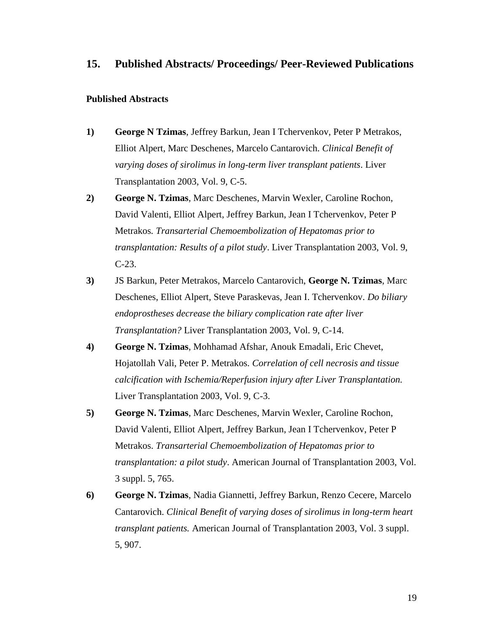# **15. Published Abstracts/ Proceedings/ Peer-Reviewed Publications**

#### **Published Abstracts**

- **1) George N Tzimas**, Jeffrey Barkun, Jean I Tchervenkov, Peter P Metrakos, Elliot Alpert, Marc Deschenes, Marcelo Cantarovich. *Clinical Benefit of varying doses of sirolimus in long-term liver transplant patients*. Liver Transplantation 2003, Vol. 9, C-5.
- **2) George N. Tzimas**, Marc Deschenes, Marvin Wexler, Caroline Rochon, David Valenti, Elliot Alpert, Jeffrey Barkun, Jean I Tchervenkov, Peter P Metrakos*. Transarterial Chemoembolization of Hepatomas prior to transplantation: Results of a pilot study*. Liver Transplantation 2003, Vol. 9, C-23.
- **3)** JS Barkun, Peter Metrakos, Marcelo Cantarovich, **George N. Tzimas**, Marc Deschenes, Elliot Alpert, Steve Paraskevas, Jean I. Tchervenkov. *Do biliary endoprostheses decrease the biliary complication rate after liver Transplantation?* Liver Transplantation 2003, Vol. 9, C-14.
- **4) George N. Tzimas**, Mohhamad Afshar, Anouk Emadali, Eric Chevet, Hojatollah Vali, Peter P. Metrakos. *Correlation of cell necrosis and tissue calcification with Ischemia/Reperfusion injury after Liver Transplantation.* Liver Transplantation 2003, Vol. 9, C-3.
- **5) George N. Tzimas**, Marc Deschenes, Marvin Wexler, Caroline Rochon, David Valenti, Elliot Alpert, Jeffrey Barkun, Jean I Tchervenkov, Peter P Metrakos. *Transarterial Chemoembolization of Hepatomas prior to transplantation: a pilot study*. American Journal of Transplantation 2003, Vol. 3 suppl. 5, 765.
- **6) George N. Tzimas**, Nadia Giannetti, Jeffrey Barkun, Renzo Cecere, Marcelo Cantarovich. *Clinical Benefit of varying doses of sirolimus in long-term heart transplant patients.* American Journal of Transplantation 2003, Vol. 3 suppl. 5, 907.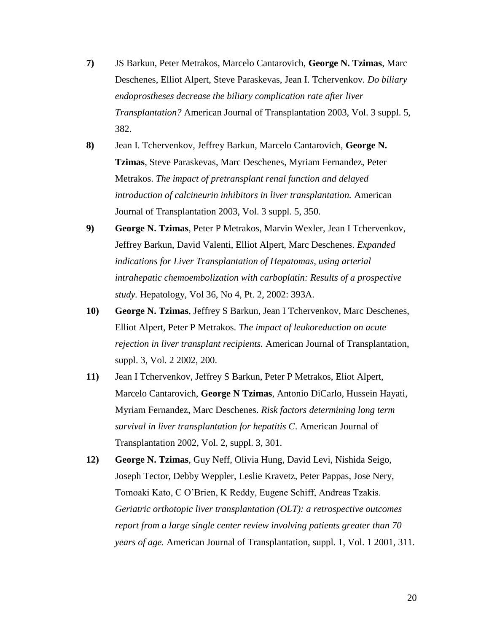- **7)** JS Barkun, Peter Metrakos, Marcelo Cantarovich, **George N. Tzimas**, Marc Deschenes, Elliot Alpert, Steve Paraskevas, Jean I. Tchervenkov*. Do biliary endoprostheses decrease the biliary complication rate after liver Transplantation?* American Journal of Transplantation 2003, Vol. 3 suppl. 5, 382.
- **8)** Jean I. Tchervenkov, Jeffrey Barkun, Marcelo Cantarovich, **George N. Tzimas**, Steve Paraskevas, Marc Deschenes, Myriam Fernandez, Peter Metrakos. *The impact of pretransplant renal function and delayed introduction of calcineurin inhibitors in liver transplantation.* American Journal of Transplantation 2003, Vol. 3 suppl. 5, 350.
- **9) George N. Tzimas**, Peter P Metrakos, Marvin Wexler, Jean I Tchervenkov, Jeffrey Barkun, David Valenti, Elliot Alpert, Marc Deschenes. *Expanded indications for Liver Transplantation of Hepatomas, using arterial intrahepatic chemoembolization with carboplatin: Results of a prospective study.* Hepatology, Vol 36, No 4, Pt. 2, 2002: 393A.
- **10) George N. Tzimas**, Jeffrey S Barkun, Jean I Tchervenkov, Marc Deschenes, Elliot Alpert, Peter P Metrakos. *The impact of leukoreduction on acute rejection in liver transplant recipients.* American Journal of Transplantation, suppl. 3, Vol. 2 2002, 200.
- **11)** Jean I Tchervenkov, Jeffrey S Barkun, Peter P Metrakos, Eliot Alpert, Marcelo Cantarovich, **George N Tzimas**, Antonio DiCarlo, Hussein Hayati, Myriam Fernandez, Marc Deschenes. *Risk factors determining long term survival in liver transplantation for hepatitis C*. American Journal of Transplantation 2002, Vol. 2, suppl. 3, 301.
- **12) George N. Tzimas**, Guy Neff, Olivia Hung, David Levi, Nishida Seigo, Joseph Tector, Debby Weppler, Leslie Kravetz, Peter Pappas, Jose Nery, Tomoaki Kato, C O'Brien, K Reddy, Eugene Schiff, Andreas Tzakis. *Geriatric orthotopic liver transplantation (OLT): a retrospective outcomes report from a large single center review involving patients greater than 70 years of age.* American Journal of Transplantation, suppl. 1, Vol. 1 2001, 311.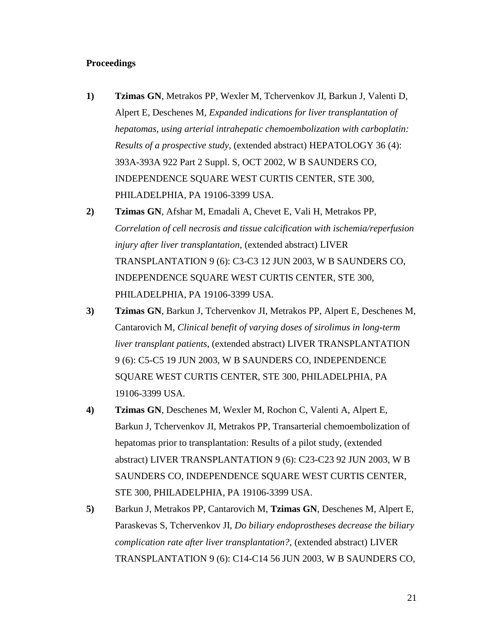### **Proceedings**

- **1) Tzimas GN**, Metrakos PP, Wexler M, Tchervenkov JI, Barkun J, Valenti D, Alpert E, Deschenes M*, Expanded indications for liver transplantation of hepatomas, using arterial intrahepatic chemoembolization with carboplatin: Results of a prospective study,* (extended abstract) HEPATOLOGY 36 (4): 393A-393A 922 Part 2 Suppl. S, OCT 2002, W B SAUNDERS CO, INDEPENDENCE SQUARE WEST CURTIS CENTER, STE 300, PHILADELPHIA, PA 19106-3399 USA.
- **2) Tzimas GN**, Afshar M, Emadali A, Chevet E, Vali H, Metrakos PP, *Correlation of cell necrosis and tissue calcification with ischemia/reperfusion injury after liver transplantation,* (extended abstract) LIVER TRANSPLANTATION 9 (6): C3-C3 12 JUN 2003, W B SAUNDERS CO, INDEPENDENCE SQUARE WEST CURTIS CENTER, STE 300, PHILADELPHIA, PA 19106-3399 USA.
- **3) Tzimas GN**, Barkun J, Tchervenkov JI, Metrakos PP, Alpert E, Deschenes M, Cantarovich M, *Clinical benefit of varying doses of sirolimus in long-term liver transplant patients*, (extended abstract) LIVER TRANSPLANTATION 9 (6): C5-C5 19 JUN 2003, W B SAUNDERS CO, INDEPENDENCE SQUARE WEST CURTIS CENTER, STE 300, PHILADELPHIA, PA 19106-3399 USA.
- **4) Tzimas GN**, Deschenes M, Wexler M, Rochon C, Valenti A, Alpert E, Barkun J, Tchervenkov JI, Metrakos PP, Transarterial chemoembolization of hepatomas prior to transplantation: Results of a pilot study, (extended abstract) LIVER TRANSPLANTATION 9 (6): C23-C23 92 JUN 2003, W B SAUNDERS CO, INDEPENDENCE SQUARE WEST CURTIS CENTER, STE 300, PHILADELPHIA, PA 19106-3399 USA.
- **5)** Barkun J, Metrakos PP, Cantarovich M, **Tzimas GN**, Deschenes M, Alpert E, Paraskevas S, Tchervenkov JI, *Do biliary endoprostheses decrease the biliary complication rate after liver transplantation?,* (extended abstract) LIVER TRANSPLANTATION 9 (6): C14-C14 56 JUN 2003, W B SAUNDERS CO,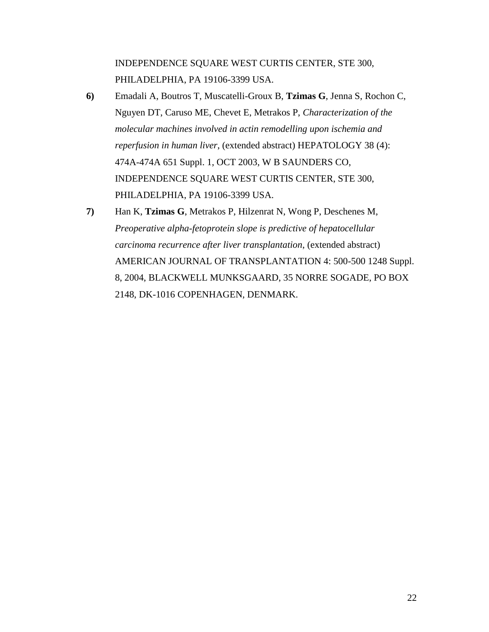INDEPENDENCE SQUARE WEST CURTIS CENTER, STE 300, PHILADELPHIA, PA 19106-3399 USA.

- **6)** Emadali A, Boutros T, Muscatelli-Groux B, **Tzimas G**, Jenna S, Rochon C, Nguyen DT, Caruso ME, Chevet E, Metrakos P, *Characterization of the molecular machines involved in actin remodelling upon ischemia and reperfusion in human liver*, (extended abstract) HEPATOLOGY 38 (4): 474A-474A 651 Suppl. 1, OCT 2003, W B SAUNDERS CO, INDEPENDENCE SQUARE WEST CURTIS CENTER, STE 300, PHILADELPHIA, PA 19106-3399 USA.
- **7)** Han K, **Tzimas G**, Metrakos P, Hilzenrat N, Wong P, Deschenes M, *Preoperative alpha-fetoprotein slope is predictive of hepatocellular carcinoma recurrence after liver transplantation*, (extended abstract) AMERICAN JOURNAL OF TRANSPLANTATION 4: 500-500 1248 Suppl. 8, 2004, BLACKWELL MUNKSGAARD, 35 NORRE SOGADE, PO BOX 2148, DK-1016 COPENHAGEN, DENMARK.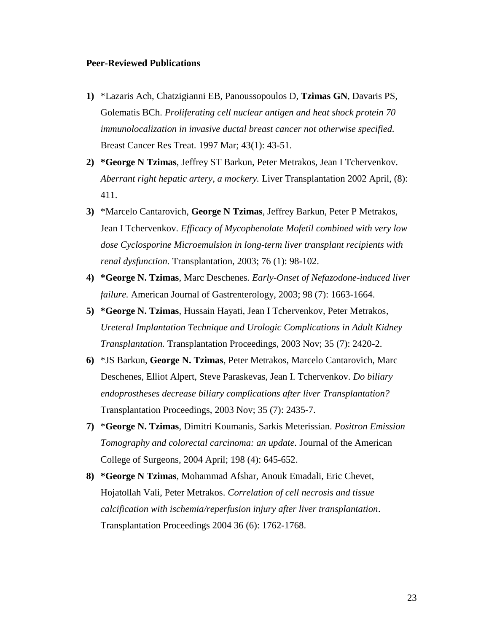#### **Peer-Reviewed Publications**

- **1)** \*Lazaris Ach, Chatzigianni EB, Panoussopoulos D, **Tzimas GN**, Davaris PS, Golematis BCh. *Proliferating cell nuclear antigen and heat shock protein 70 immunolocalization in invasive ductal breast cancer not otherwise specified.* Breast Cancer Res Treat. 1997 Mar; 43(1): 43-51.
- **2) \*George N Tzimas**, Jeffrey ST Barkun, Peter Metrakos, Jean I Tchervenkov. *Aberrant right hepatic artery, a mockery.* Liver Transplantation 2002 April, (8): 411.
- **3)** \*Marcelo Cantarovich, **George N Tzimas**, Jeffrey Barkun, Peter P Metrakos, Jean I Tchervenkov. *Efficacy of Mycophenolate Mofetil combined with very low dose Cyclosporine Microemulsion in long-term liver transplant recipients with renal dysfunction.* Transplantation, 2003; 76 (1): 98-102.
- **4) \*George N. Tzimas**, Marc Deschenes*. Early-Onset of Nefazodone-induced liver failure.* American Journal of Gastrenterology, 2003; 98 (7): 1663-1664.
- **5) \*George N. Tzimas**, Hussain Hayati, Jean I Tchervenkov, Peter Metrakos*, Ureteral Implantation Technique and Urologic Complications in Adult Kidney Transplantation.* Transplantation Proceedings, 2003 Nov; 35 (7): 2420-2.
- **6)** \*JS Barkun, **George N. Tzimas**, Peter Metrakos, Marcelo Cantarovich, Marc Deschenes, Elliot Alpert, Steve Paraskevas, Jean I. Tchervenkov. *Do biliary endoprostheses decrease biliary complications after liver Transplantation?* Transplantation Proceedings, 2003 Nov; 35 (7): 2435-7.
- **7)** \***George N. Tzimas**, Dimitri Koumanis, Sarkis Meterissian. *Positron Emission Tomography and colorectal carcinoma: an update.* Journal of the American College of Surgeons, 2004 April; 198 (4): 645-652.
- **8) \*George N Tzimas**, Mohammad Afshar, Anouk Emadali, Eric Chevet, Hojatollah Vali, Peter Metrakos. *Correlation of cell necrosis and tissue calcification with ischemia/reperfusion injury after liver transplantation*. Transplantation Proceedings 2004 36 (6): 1762-1768.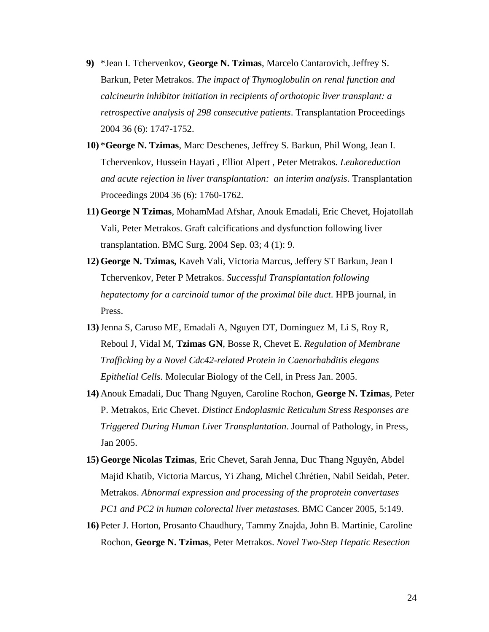- **9)** \*Jean I. Tchervenkov, **George N. Tzimas**, Marcelo Cantarovich, Jeffrey S. Barkun, Peter Metrakos. *The impact of Thymoglobulin on renal function and calcineurin inhibitor initiation in recipients of orthotopic liver transplant: a retrospective analysis of 298 consecutive patients*. Transplantation Proceedings 2004 36 (6): 1747-1752.
- **10)** \***George N. Tzimas**, Marc Deschenes, Jeffrey S. Barkun, Phil Wong, Jean I. Tchervenkov, Hussein Hayati , Elliot Alpert , Peter Metrakos*. Leukoreduction and acute rejection in liver transplantation: an interim analysis*. Transplantation Proceedings 2004 36 (6): 1760-1762.
- **11) George N Tzimas**, MohamΜad Afshar, Anouk Emadali, Eric Chevet, Hojatollah Vali, Peter Metrakos. Graft calcifications and dysfunction following liver transplantation. BMC Surg. 2004 Sep. 03; 4 (1): 9.
- **12) George N. Tzimas,** Kaveh Vali, Victoria Marcus, Jeffery ST Barkun, Jean I Tchervenkov, Peter P Metrakos. *Successful Transplantation following hepatectomy for a carcinoid tumor of the proximal bile duct*. HPB journal, in Press.
- **13)**Jenna S, Caruso ME, Emadali A, Nguyen DT, Dominguez M, Li S, Roy R, Reboul J, Vidal M, **Tzimas GN**, Bosse R, Chevet E. *Regulation of Membrane Trafficking by a Novel Cdc42-related Protein in Caenorhabditis elegans Epithelial Cells.* Molecular Biology of the Cell, in Press Jan. 2005.
- **14)** Anouk Emadali, Duc Thang Nguyen, Caroline Rochon, **George N. Tzimas**, Peter P. Metrakos, Eric Chevet. *Distinct Endoplasmic Reticulum Stress Responses are Triggered During Human Liver Transplantation*. Journal of Pathology, in Press, Jan 2005.
- **15) George Nicolas Tzimas**, Eric Chevet, Sarah Jenna, Duc Thang Nguyên, Abdel Majid Khatib, Victoria Marcus, Yi Zhang, Michel Chrétien, Nabil Seidah, Peter. Metrakos. *Abnormal expression and processing of the proprotein convertases PC1 and PC2 in human colorectal liver metastases.* BMC Cancer 2005, 5:149.
- **16)** Peter J. Horton, Prosanto Chaudhury, Tammy Znajda, John B. Martinie, Caroline Rochon, **George N. Tzimas**, Peter Metrakos. *Novel Two-Step Hepatic Resection*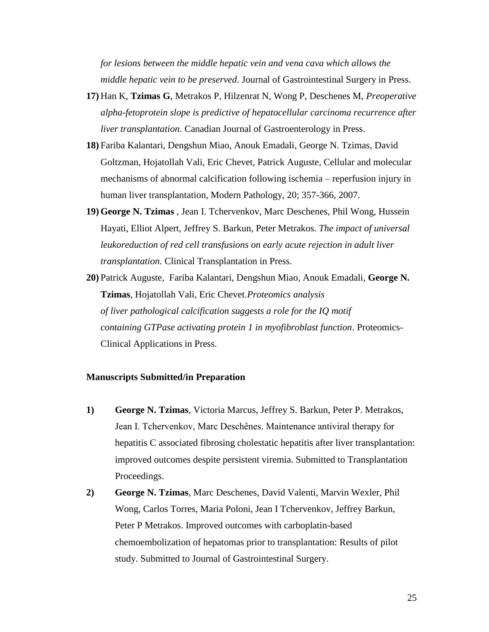*for lesions between the middle hepatic vein and vena cava which allows the middle hepatic vein to be preserved*. Journal of Gastrointestinal Surgery in Press.

- **17)** Han K, **Tzimas G**, Metrakos P, Hilzenrat N, Wong P, Deschenes M, *Preoperative alpha-fetoprotein slope is predictive of hepatocellular carcinoma recurrence after liver transplantation*. Canadian Journal of Gastroenterology in Press.
- **18)** Fariba Kalantari, Dengshun Miao, Anouk Emadali, George N. Tzimas, David Goltzman, Hojatollah Vali, Eric Chevet, Patrick Auguste, Cellular and molecular mechanisms of abnormal calcification following ischemia – reperfusion injury in human liver transplantation, Modern Pathology, 20; 357-366, 2007.
- **19) George N. Tzimas** , Jean I. Tchervenkov, Marc Deschenes, Phil Wong, Hussein Hayati, Elliot Alpert, Jeffrey S. Barkun, Peter Metrakos. *The impact of universal leukoreduction of red cell transfusions on early acute rejection in adult liver transplantation.* Clinical Transplantation in Press.
- **20)** Patrick Auguste, Fariba Kalantari, Dengshun Miao, Anouk Emadali, **George N. Tzimas**, Hojatollah Vali, Eric Chevet*.Proteomics analysis of liver pathological calcification suggests a role for the IQ motif containing GTPase activating protein 1 in myofibroblast function*. Proteomics-Clinical Applications in Press.

### **Manuscripts Submitted/in Preparation**

- **1) George N. Tzimas**, Victoria Marcus, Jeffrey S. Barkun, Peter P. Metrakos, Jean I. Tchervenkov, Marc Deschênes. Maintenance antiviral therapy for hepatitis C associated fibrosing cholestatic hepatitis after liver transplantation: improved outcomes despite persistent viremia. Submitted to Transplantation Proceedings.
- **2) George N. Tzimas**, Marc Deschenes, David Valenti, Marvin Wexler, Phil Wong, Carlos Torres, Maria Poloni, Jean I Tchervenkov, Jeffrey Barkun, Peter P Metrakos. Improved outcomes with carboplatin-based chemoembolization of hepatomas prior to transplantation: Results of pilot study. Submitted to Journal of Gastrointestinal Surgery.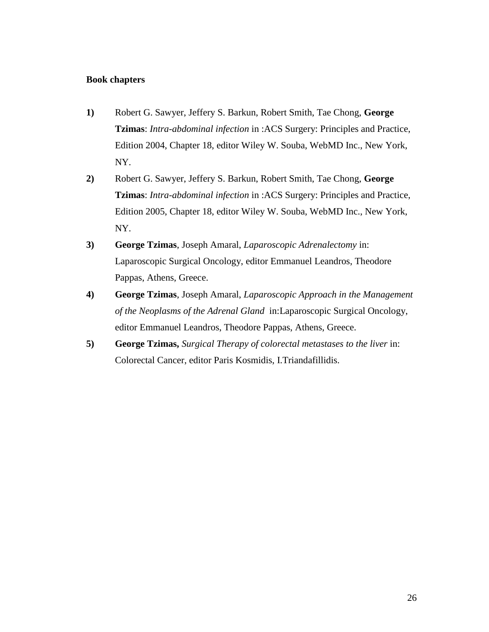## **Book chapters**

- **1)** Robert G. Sawyer, Jeffery S. Barkun, Robert Smith, Tae Chong, **George Tzimas**: *Intra-abdominal infection* in :ACS Surgery: Principles and Practice, Edition 2004, Chapter 18, editor Wiley W. Souba, WebMD Inc., New York, NY.
- **2)** Robert G. Sawyer, Jeffery S. Barkun, Robert Smith, Tae Chong, **George Tzimas**: *Intra-abdominal infection* in :ACS Surgery: Principles and Practice, Edition 2005, Chapter 18, editor Wiley W. Souba, WebMD Inc., New York, NY.
- **3) George Tzimas**, Joseph Amaral, *Laparoscopic Adrenalectomy* in: Laparoscopic Surgical Oncology, editor Emmanuel Leandros, Theodore Pappas, Athens, Greece.
- **4) George Tzimas**, Joseph Amaral, *Laparoscopic Approach in the Management of the Neoplasms of the Adrenal Gland* in:Laparoscopic Surgical Oncology, editor Emmanuel Leandros, Theodore Pappas, Athens, Greece.
- **5) George Tzimas,** *Surgical Therapy of colorectal metastases to the liver* in: Colorectal Cancer, editor Paris Kosmidis, I.Triandafillidis.